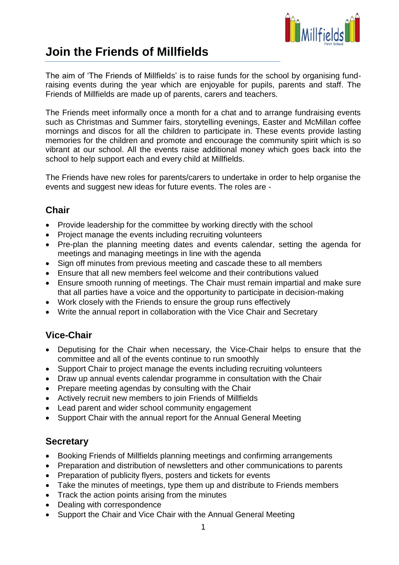

# **Join the Friends of Millfields**

The aim of 'The Friends of Millfields' is to raise funds for the school by organising fundraising events during the year which are enjoyable for pupils, parents and staff. The Friends of Millfields are made up of parents, carers and teachers.

The Friends meet informally once a month for a chat and to arrange fundraising events such as Christmas and Summer fairs, storytelling evenings, Easter and McMillan coffee mornings and discos for all the children to participate in. These events provide lasting memories for the children and promote and encourage the community spirit which is so vibrant at our school. All the events raise additional money which goes back into the school to help support each and every child at Millfields.

The Friends have new roles for parents/carers to undertake in order to help organise the events and suggest new ideas for future events. The roles are -

# **Chair**

- Provide leadership for the committee by working directly with the school
- Project manage the events including recruiting volunteers
- Pre-plan the planning meeting dates and events calendar, setting the agenda for meetings and managing meetings in line with the agenda
- Sign off minutes from previous meeting and cascade these to all members
- Ensure that all new members feel welcome and their contributions valued
- Ensure smooth running of meetings. The Chair must remain impartial and make sure that all parties have a voice and the opportunity to participate in decision-making
- Work closely with the Friends to ensure the group runs effectively
- Write the annual report in collaboration with the Vice Chair and Secretary

# **Vice-Chair**

- Deputising for the Chair when necessary, the Vice-Chair helps to ensure that the committee and all of the events continue to run smoothly
- Support Chair to project manage the events including recruiting volunteers
- Draw up annual events calendar programme in consultation with the Chair
- Prepare meeting agendas by consulting with the Chair
- Actively recruit new members to join Friends of Millfields
- Lead parent and wider school community engagement
- Support Chair with the annual report for the Annual General Meeting

#### **Secretary**

- Booking Friends of Millfields planning meetings and confirming arrangements
- Preparation and distribution of newsletters and other communications to parents
- Preparation of publicity flyers, posters and tickets for events
- Take the minutes of meetings, type them up and distribute to Friends members
- Track the action points arising from the minutes
- Dealing with correspondence
- Support the Chair and Vice Chair with the Annual General Meeting